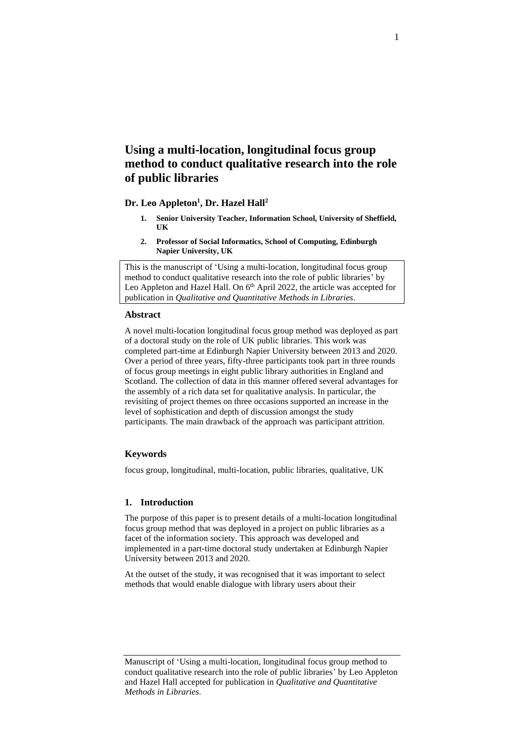# **Using a multi-location, longitudinal focus group method to conduct qualitative research into the role of public libraries**

# **Dr. Leo Appleton<sup>1</sup> , Dr. Hazel Hall<sup>2</sup>**

- **1. Senior University Teacher, Information School, University of Sheffield, UK**
- **2. Professor of Social Informatics, School of Computing, Edinburgh Napier University, UK**

This is the manuscript of 'Using a multi-location, longitudinal focus group method to conduct qualitative research into the role of public libraries' by Leo Appleton and Hazel Hall. On 6<sup>th</sup> April 2022, the article was accepted for publication in *Qualitative and Quantitative Methods in Libraries*.

#### **Abstract**

A novel multi-location longitudinal focus group method was deployed as part of a doctoral study on the role of UK public libraries. This work was completed part-time at Edinburgh Napier University between 2013 and 2020. Over a period of three years, fifty-three participants took part in three rounds of focus group meetings in eight public library authorities in England and Scotland. The collection of data in this manner offered several advantages for the assembly of a rich data set for qualitative analysis. In particular, the revisiting of project themes on three occasions supported an increase in the level of sophistication and depth of discussion amongst the study participants. The main drawback of the approach was participant attrition.

### **Keywords**

focus group, longitudinal, multi-location, public libraries, qualitative, UK

## **1. Introduction**

The purpose of this paper is to present details of a multi-location longitudinal focus group method that was deployed in a project on public libraries as a facet of the information society. This approach was developed and implemented in a part-time doctoral study undertaken at Edinburgh Napier University between 2013 and 2020.

At the outset of the study, it was recognised that it was important to select methods that would enable dialogue with library users about their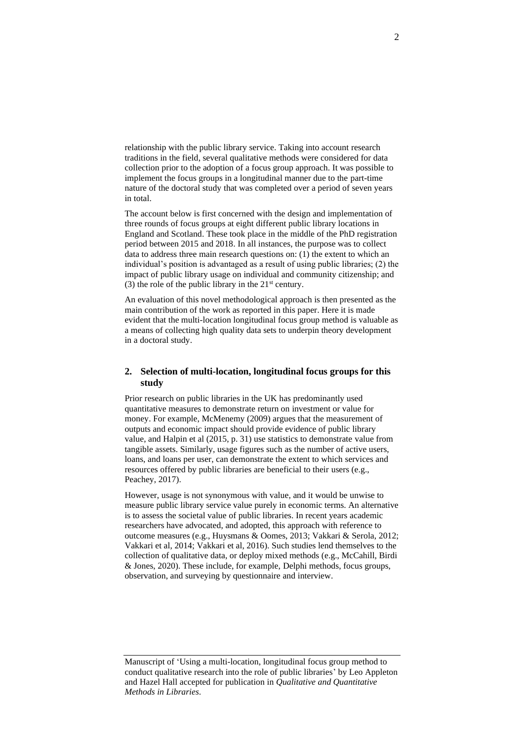relationship with the public library service. Taking into account research traditions in the field, several qualitative methods were considered for data collection prior to the adoption of a focus group approach. It was possible to implement the focus groups in a longitudinal manner due to the part-time nature of the doctoral study that was completed over a period of seven years in total.

The account below is first concerned with the design and implementation of three rounds of focus groups at eight different public library locations in England and Scotland. These took place in the middle of the PhD registration period between 2015 and 2018. In all instances, the purpose was to collect data to address three main research questions on: (1) the extent to which an individual's position is advantaged as a result of using public libraries; (2) the impact of public library usage on individual and community citizenship; and (3) the role of the public library in the  $21<sup>st</sup>$  century.

An evaluation of this novel methodological approach is then presented as the main contribution of the work as reported in this paper. Here it is made evident that the multi-location longitudinal focus group method is valuable as a means of collecting high quality data sets to underpin theory development in a doctoral study.

# **2. Selection of multi-location, longitudinal focus groups for this study**

Prior research on public libraries in the UK has predominantly used quantitative measures to demonstrate return on investment or value for money. For example, McMenemy (2009) argues that the measurement of outputs and economic impact should provide evidence of public library value, and Halpin et al (2015, p. 31) use statistics to demonstrate value from tangible assets. Similarly, usage figures such as the number of active users, loans, and loans per user, can demonstrate the extent to which services and resources offered by public libraries are beneficial to their users (e.g., Peachey, 2017).

However, usage is not synonymous with value, and it would be unwise to measure public library service value purely in economic terms. An alternative is to assess the societal value of public libraries. In recent years academic researchers have advocated, and adopted, this approach with reference to outcome measures (e.g., Huysmans & Oomes, 2013; Vakkari & Serola, 2012; Vakkari et al, 2014; Vakkari et al, 2016). Such studies lend themselves to the collection of qualitative data, or deploy mixed methods (e.g., McCahill, Birdi & Jones, 2020). These include, for example, Delphi methods, focus groups, observation, and surveying by questionnaire and interview.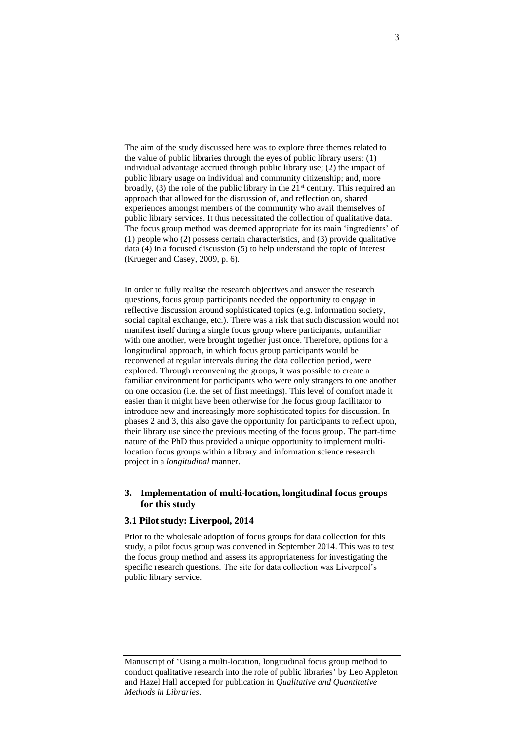The aim of the study discussed here was to explore three themes related to the value of public libraries through the eyes of public library users: (1) individual advantage accrued through public library use; (2) the impact of public library usage on individual and community citizenship; and, more broadly,  $(3)$  the role of the public library in the  $21<sup>st</sup>$  century. This required an approach that allowed for the discussion of, and reflection on, shared experiences amongst members of the community who avail themselves of public library services. It thus necessitated the collection of qualitative data. The focus group method was deemed appropriate for its main 'ingredients' of (1) people who (2) possess certain characteristics, and (3) provide qualitative data (4) in a focused discussion (5) to help understand the topic of interest (Krueger and Casey, 2009, p. 6).

In order to fully realise the research objectives and answer the research questions, focus group participants needed the opportunity to engage in reflective discussion around sophisticated topics (e.g. information society, social capital exchange, etc.). There was a risk that such discussion would not manifest itself during a single focus group where participants, unfamiliar with one another, were brought together just once. Therefore, options for a longitudinal approach, in which focus group participants would be reconvened at regular intervals during the data collection period, were explored. Through reconvening the groups, it was possible to create a familiar environment for participants who were only strangers to one another on one occasion (i.e. the set of first meetings). This level of comfort made it easier than it might have been otherwise for the focus group facilitator to introduce new and increasingly more sophisticated topics for discussion. In phases 2 and 3, this also gave the opportunity for participants to reflect upon, their library use since the previous meeting of the focus group. The part-time nature of the PhD thus provided a unique opportunity to implement multilocation focus groups within a library and information science research project in a *longitudinal* manner.

## **3. Implementation of multi-location, longitudinal focus groups for this study**

# **3.1 Pilot study: Liverpool, 2014**

Prior to the wholesale adoption of focus groups for data collection for this study, a pilot focus group was convened in September 2014. This was to test the focus group method and assess its appropriateness for investigating the specific research questions. The site for data collection was Liverpool's public library service.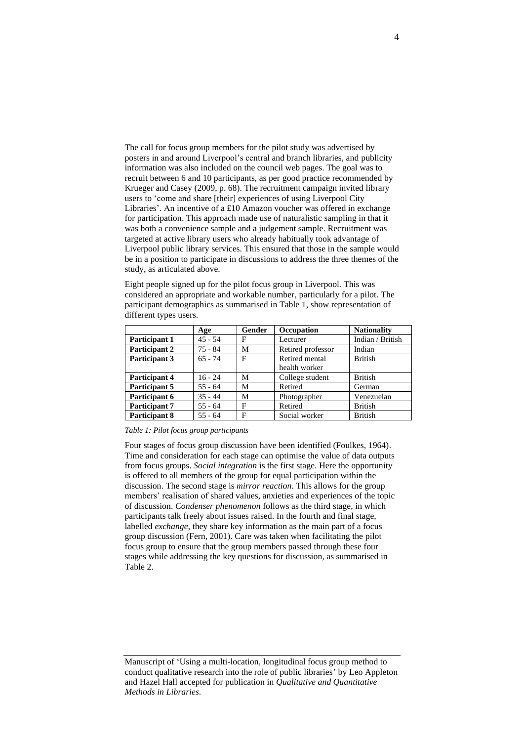The call for focus group members for the pilot study was advertised by posters in and around Liverpool's central and branch libraries, and publicity information was also included on the council web pages. The goal was to recruit between 6 and 10 participants, as per good practice recommended by Krueger and Casey (2009, p. 68). The recruitment campaign invited library users to 'come and share [their] experiences of using Liverpool City Libraries'. An incentive of a £10 Amazon voucher was offered in exchange for participation. This approach made use of naturalistic sampling in that it was both a convenience sample and a judgement sample. Recruitment was targeted at active library users who already habitually took advantage of Liverpool public library services. This ensured that those in the sample would be in a position to participate in discussions to address the three themes of the study, as articulated above.

Eight people signed up for the pilot focus group in Liverpool. This was considered an appropriate and workable number, particularly for a pilot. The participant demographics as summarised in Table 1, show representation of different types users.

|                      | Age       | Gender | Occupation        | <b>Nationality</b> |
|----------------------|-----------|--------|-------------------|--------------------|
| Participant 1        | $45 - 54$ | F      | Lecturer          | Indian / British   |
| Participant 2        | $75 - 84$ | M      | Retired professor | Indian             |
| Participant 3        | $65 - 74$ | F      | Retired mental    | <b>British</b>     |
|                      |           |        | health worker     |                    |
| Participant 4        | $16 - 24$ | M      | College student   | <b>British</b>     |
| Participant 5        | $55 - 64$ | M      | Retired           | German             |
| Participant 6        | $35 - 44$ | M      | Photographer      | Venezuelan         |
| Participant 7        | $55 - 64$ | F      | Retired           | <b>British</b>     |
| <b>Participant 8</b> | $55 - 64$ | F      | Social worker     | <b>British</b>     |

#### *Table 1: Pilot focus group participants*

Four stages of focus group discussion have been identified (Foulkes, 1964). Time and consideration for each stage can optimise the value of data outputs from focus groups. *Social integration* is the first stage. Here the opportunity is offered to all members of the group for equal participation within the discussion. The second stage is *mirror reaction*. This allows for the group members' realisation of shared values, anxieties and experiences of the topic of discussion. *Condenser phenomenon* follows as the third stage, in which participants talk freely about issues raised. In the fourth and final stage, labelled *exchange*, they share key information as the main part of a focus group discussion (Fern, 2001). Care was taken when facilitating the pilot focus group to ensure that the group members passed through these four stages while addressing the key questions for discussion, as summarised in Table 2.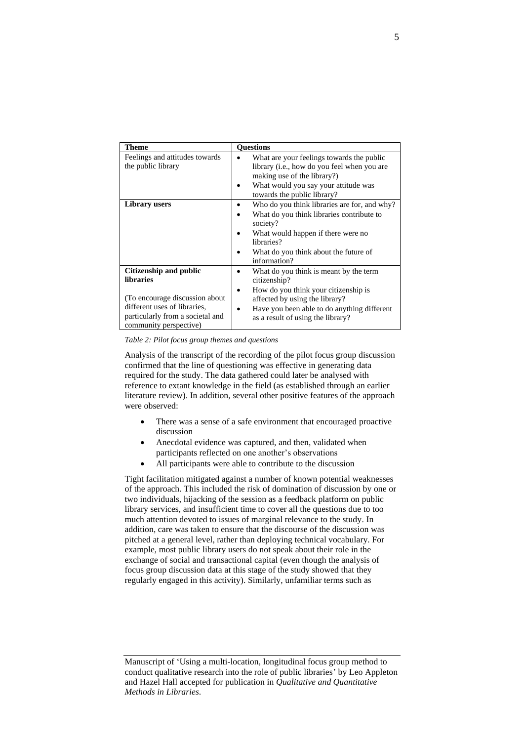| <b>Theme</b>                                                                                                                                                                | <b>Ouestions</b>                                                                                                                                                                                                                            |  |  |
|-----------------------------------------------------------------------------------------------------------------------------------------------------------------------------|---------------------------------------------------------------------------------------------------------------------------------------------------------------------------------------------------------------------------------------------|--|--|
| Feelings and attitudes towards<br>the public library                                                                                                                        | What are your feelings towards the public<br>library ( <i>i.e.</i> , how do you feel when you are<br>making use of the library?)<br>What would you say your attitude was<br>towards the public library?                                     |  |  |
| <b>Library</b> users                                                                                                                                                        | Who do you think libraries are for, and why?<br>What do you think libraries contribute to<br>٠<br>society?<br>What would happen if there were no<br>libraries?<br>What do you think about the future of<br>information?                     |  |  |
| Citizenship and public<br><b>libraries</b><br>(To encourage discussion about)<br>different uses of libraries,<br>particularly from a societal and<br>community perspective) | What do you think is meant by the term<br>٠<br>citizenship?<br>How do you think your citizenship is<br>٠<br>affected by using the library?<br>Have you been able to do anything different<br>$\bullet$<br>as a result of using the library? |  |  |

*Table 2: Pilot focus group themes and questions*

Analysis of the transcript of the recording of the pilot focus group discussion confirmed that the line of questioning was effective in generating data required for the study. The data gathered could later be analysed with reference to extant knowledge in the field (as established through an earlier literature review). In addition, several other positive features of the approach were observed:

- There was a sense of a safe environment that encouraged proactive discussion
- Anecdotal evidence was captured, and then, validated when participants reflected on one another's observations
- All participants were able to contribute to the discussion

Tight facilitation mitigated against a number of known potential weaknesses of the approach. This included the risk of domination of discussion by one or two individuals, hijacking of the session as a feedback platform on public library services, and insufficient time to cover all the questions due to too much attention devoted to issues of marginal relevance to the study. In addition, care was taken to ensure that the discourse of the discussion was pitched at a general level, rather than deploying technical vocabulary. For example, most public library users do not speak about their role in the exchange of social and transactional capital (even though the analysis of focus group discussion data at this stage of the study showed that they regularly engaged in this activity). Similarly, unfamiliar terms such as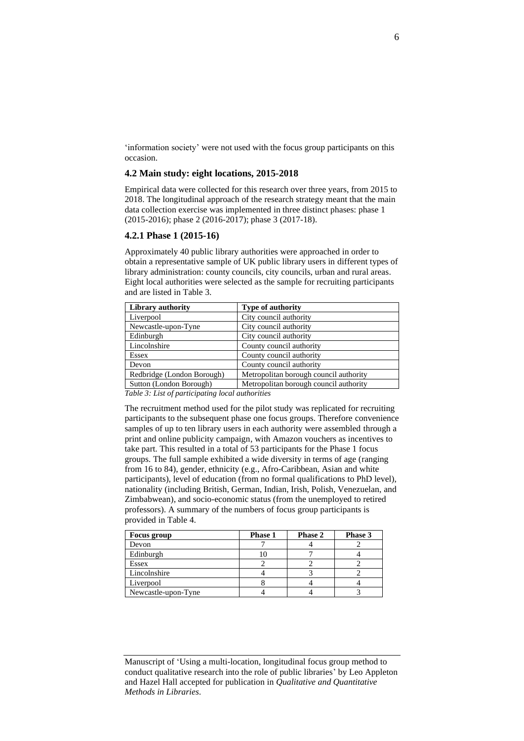'information society' were not used with the focus group participants on this occasion.

## **4.2 Main study: eight locations, 2015-2018**

Empirical data were collected for this research over three years, from 2015 to 2018. The longitudinal approach of the research strategy meant that the main data collection exercise was implemented in three distinct phases: phase 1 (2015-2016); phase 2 (2016-2017); phase 3 (2017-18).

## **4.2.1 Phase 1 (2015-16)**

Approximately 40 public library authorities were approached in order to obtain a representative sample of UK public library users in different types of library administration: county councils, city councils, urban and rural areas. Eight local authorities were selected as the sample for recruiting participants and are listed in Table 3.

| <b>Library authority</b>   | <b>Type of authority</b>               |  |  |
|----------------------------|----------------------------------------|--|--|
| Liverpool                  | City council authority                 |  |  |
| Newcastle-upon-Tyne        | City council authority                 |  |  |
| Edinburgh                  | City council authority                 |  |  |
| Lincolnshire               | County council authority               |  |  |
| <b>Essex</b>               | County council authority               |  |  |
| Devon                      | County council authority               |  |  |
| Redbridge (London Borough) | Metropolitan borough council authority |  |  |
| Sutton (London Borough)    | Metropolitan borough council authority |  |  |

*Table 3: List of participating local authorities*

The recruitment method used for the pilot study was replicated for recruiting participants to the subsequent phase one focus groups. Therefore convenience samples of up to ten library users in each authority were assembled through a print and online publicity campaign, with Amazon vouchers as incentives to take part. This resulted in a total of 53 participants for the Phase 1 focus groups. The full sample exhibited a wide diversity in terms of age (ranging from 16 to 84), gender, ethnicity (e.g., Afro-Caribbean, Asian and white participants), level of education (from no formal qualifications to PhD level), nationality (including British, German, Indian, Irish, Polish, Venezuelan, and Zimbabwean), and socio-economic status (from the unemployed to retired professors). A summary of the numbers of focus group participants is provided in Table 4.

| Focus group         | <b>Phase 1</b> | <b>Phase 2</b> | Phase 3 |
|---------------------|----------------|----------------|---------|
| Devon               |                |                |         |
| Edinburgh           |                |                |         |
| Essex               |                |                |         |
| Lincolnshire        |                |                |         |
| Liverpool           |                |                |         |
| Newcastle-upon-Tyne |                |                |         |

Manuscript of 'Using a multi-location, longitudinal focus group method to conduct qualitative research into the role of public libraries' by Leo Appleton and Hazel Hall accepted for publication in *Qualitative and Quantitative Methods in Libraries*.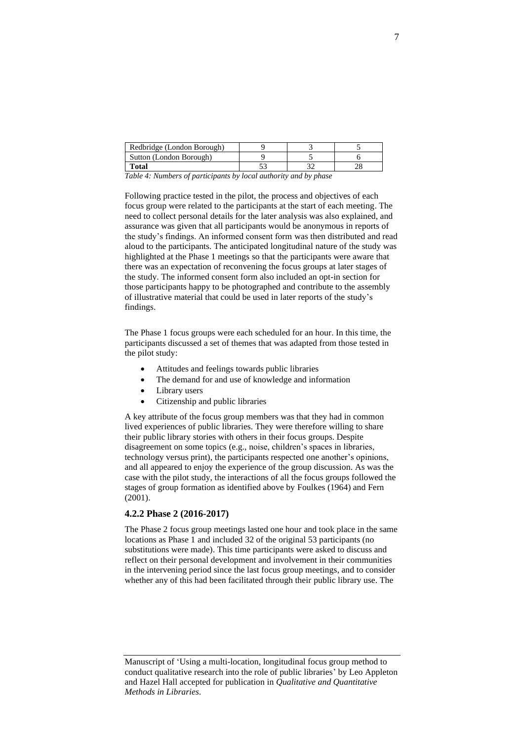| Redbridge (London Borough) |  |  |
|----------------------------|--|--|
| Sutton (London Borough)    |  |  |
| Total                      |  |  |

*Table 4: Numbers of participants by local authority and by phase*

Following practice tested in the pilot, the process and objectives of each focus group were related to the participants at the start of each meeting. The need to collect personal details for the later analysis was also explained, and assurance was given that all participants would be anonymous in reports of the study's findings. An informed consent form was then distributed and read aloud to the participants. The anticipated longitudinal nature of the study was highlighted at the Phase 1 meetings so that the participants were aware that there was an expectation of reconvening the focus groups at later stages of the study. The informed consent form also included an opt-in section for those participants happy to be photographed and contribute to the assembly of illustrative material that could be used in later reports of the study's findings.

The Phase 1 focus groups were each scheduled for an hour. In this time, the participants discussed a set of themes that was adapted from those tested in the pilot study:

- Attitudes and feelings towards public libraries
- The demand for and use of knowledge and information
- Library users
- Citizenship and public libraries

A key attribute of the focus group members was that they had in common lived experiences of public libraries. They were therefore willing to share their public library stories with others in their focus groups. Despite disagreement on some topics (e.g., noise, children's spaces in libraries, technology versus print), the participants respected one another's opinions, and all appeared to enjoy the experience of the group discussion. As was the case with the pilot study, the interactions of all the focus groups followed the stages of group formation as identified above by Foulkes (1964) and Fern (2001).

#### **4.2.2 Phase 2 (2016-2017)**

The Phase 2 focus group meetings lasted one hour and took place in the same locations as Phase 1 and included 32 of the original 53 participants (no substitutions were made). This time participants were asked to discuss and reflect on their personal development and involvement in their communities in the intervening period since the last focus group meetings, and to consider whether any of this had been facilitated through their public library use. The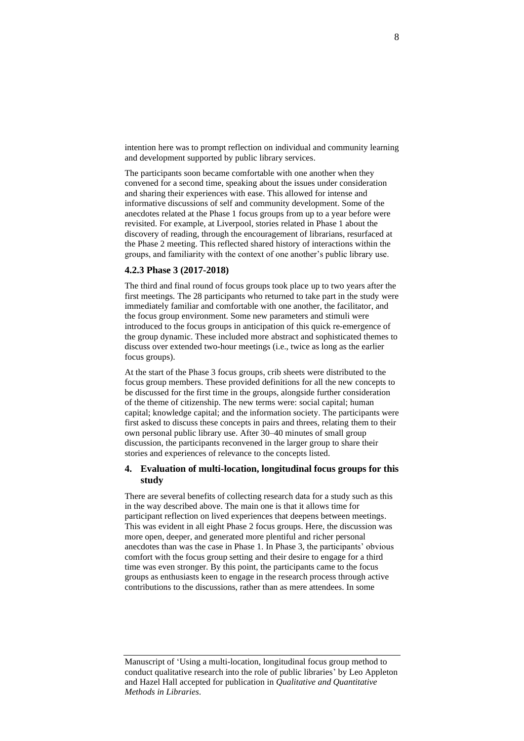intention here was to prompt reflection on individual and community learning and development supported by public library services.

The participants soon became comfortable with one another when they convened for a second time, speaking about the issues under consideration and sharing their experiences with ease. This allowed for intense and informative discussions of self and community development. Some of the anecdotes related at the Phase 1 focus groups from up to a year before were revisited. For example, at Liverpool, stories related in Phase 1 about the discovery of reading, through the encouragement of librarians, resurfaced at the Phase 2 meeting. This reflected shared history of interactions within the groups, and familiarity with the context of one another's public library use.

#### **4.2.3 Phase 3 (2017-2018)**

The third and final round of focus groups took place up to two years after the first meetings. The 28 participants who returned to take part in the study were immediately familiar and comfortable with one another, the facilitator, and the focus group environment. Some new parameters and stimuli were introduced to the focus groups in anticipation of this quick re-emergence of the group dynamic. These included more abstract and sophisticated themes to discuss over extended two-hour meetings (i.e., twice as long as the earlier focus groups).

At the start of the Phase 3 focus groups, crib sheets were distributed to the focus group members. These provided definitions for all the new concepts to be discussed for the first time in the groups, alongside further consideration of the theme of citizenship. The new terms were: social capital; human capital; knowledge capital; and the information society. The participants were first asked to discuss these concepts in pairs and threes, relating them to their own personal public library use. After 30–40 minutes of small group discussion, the participants reconvened in the larger group to share their stories and experiences of relevance to the concepts listed.

# **4. Evaluation of multi-location, longitudinal focus groups for this study**

There are several benefits of collecting research data for a study such as this in the way described above. The main one is that it allows time for participant reflection on lived experiences that deepens between meetings. This was evident in all eight Phase 2 focus groups. Here, the discussion was more open, deeper, and generated more plentiful and richer personal anecdotes than was the case in Phase 1. In Phase 3, the participants' obvious comfort with the focus group setting and their desire to engage for a third time was even stronger. By this point, the participants came to the focus groups as enthusiasts keen to engage in the research process through active contributions to the discussions, rather than as mere attendees. In some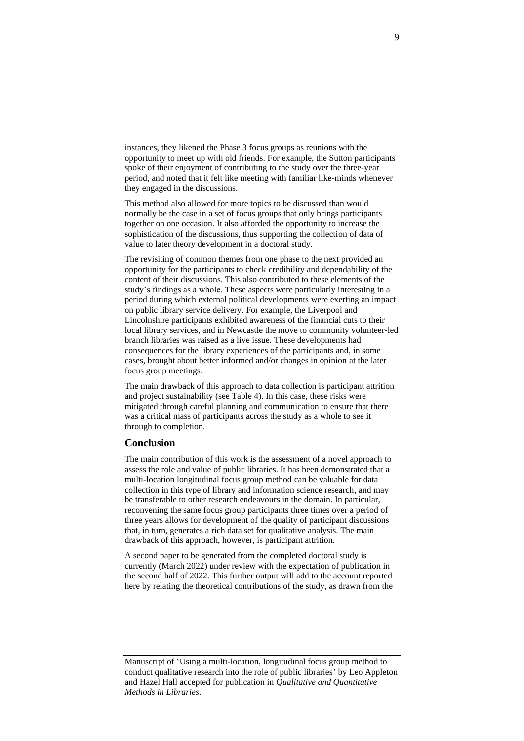instances, they likened the Phase 3 focus groups as reunions with the opportunity to meet up with old friends. For example, the Sutton participants spoke of their enjoyment of contributing to the study over the three-year period, and noted that it felt like meeting with familiar like-minds whenever they engaged in the discussions.

This method also allowed for more topics to be discussed than would normally be the case in a set of focus groups that only brings participants together on one occasion. It also afforded the opportunity to increase the sophistication of the discussions, thus supporting the collection of data of value to later theory development in a doctoral study.

The revisiting of common themes from one phase to the next provided an opportunity for the participants to check credibility and dependability of the content of their discussions. This also contributed to these elements of the study's findings as a whole. These aspects were particularly interesting in a period during which external political developments were exerting an impact on public library service delivery. For example, the Liverpool and Lincolnshire participants exhibited awareness of the financial cuts to their local library services, and in Newcastle the move to community volunteer-led branch libraries was raised as a live issue. These developments had consequences for the library experiences of the participants and, in some cases, brought about better informed and/or changes in opinion at the later focus group meetings.

The main drawback of this approach to data collection is participant attrition and project sustainability (see Table 4). In this case, these risks were mitigated through careful planning and communication to ensure that there was a critical mass of participants across the study as a whole to see it through to completion.

#### **Conclusion**

The main contribution of this work is the assessment of a novel approach to assess the role and value of public libraries. It has been demonstrated that a multi-location longitudinal focus group method can be valuable for data collection in this type of library and information science research, and may be transferable to other research endeavours in the domain. In particular, reconvening the same focus group participants three times over a period of three years allows for development of the quality of participant discussions that, in turn, generates a rich data set for qualitative analysis. The main drawback of this approach, however, is participant attrition.

A second paper to be generated from the completed doctoral study is currently (March 2022) under review with the expectation of publication in the second half of 2022. This further output will add to the account reported here by relating the theoretical contributions of the study, as drawn from the